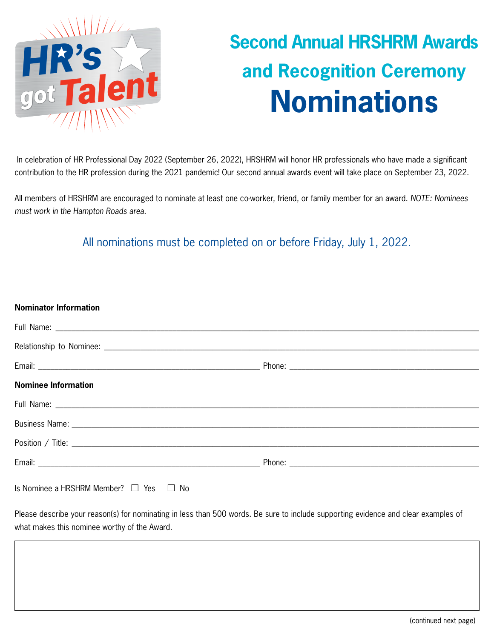

## **Second Annual HRSHRM Awards and Recognition Ceremony Nominations**

 In celebration of HR Professional Day 2022 (September 26, 2022), HRSHRM will honor HR professionals who have made a significant contribution to the HR profession during the 2021 pandemic! Our second annual awards event will take place on September 23, 2022.

All members of HRSHRM are encouraged to nominate at least one co-worker, friend, or family member for an award. *NOTE: Nominees must work in the Hampton Roads area.*

All nominations must be completed on or before Friday, July 1, 2022.

| <b>Nominator Information</b>                     |  |
|--------------------------------------------------|--|
|                                                  |  |
|                                                  |  |
|                                                  |  |
| <b>Nominee Information</b>                       |  |
|                                                  |  |
|                                                  |  |
|                                                  |  |
|                                                  |  |
| Is Nominee a HRSHRM Member? $\Box$ Yes $\Box$ No |  |

Please describe your reason(s) for nominating in less than 500 words. Be sure to include supporting evidence and clear examples of what makes this nominee worthy of the Award.